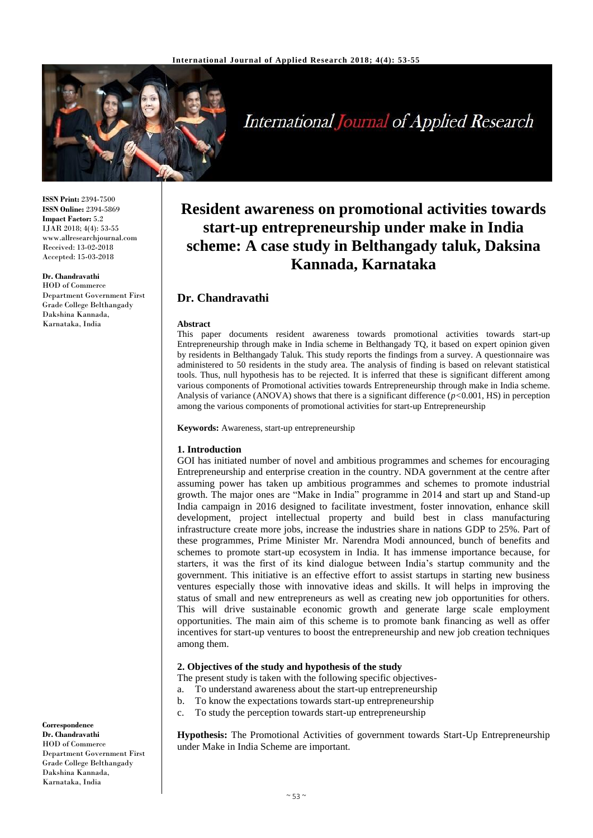

# International Journal of Applied Research

**ISSN Print:** 2394-7500 **ISSN Online:** 2394-5869 **Impact Factor:** 5.2 IJAR 2018; 4(4): 53-55 www.allresearchjournal.com Received: 13-02-2018 Accepted: 15-03-2018

#### **Dr. Chandravathi**

HOD of Commerce Department Government First Grade College Belthangady Dakshina Kannada, Karnataka, India

> This paper documents resident awareness towards promotional activities towards start-up Entrepreneurship through make in India scheme in Belthangady TQ, it based on expert opinion given by residents in Belthangady Taluk. This study reports the findings from a survey. A questionnaire was administered to 50 residents in the study area. The analysis of finding is based on relevant statistical tools. Thus, null hypothesis has to be rejected. It is inferred that these is significant different among various components of Promotional activities towards Entrepreneurship through make in India scheme. Analysis of variance (ANOVA) shows that there is a significant difference (*p<*0.001, HS) in perception among the various components of promotional activities for start-up Entrepreneurship

**Resident awareness on promotional activities towards start-up entrepreneurship under make in India scheme: A case study in Belthangady taluk, Daksina Kannada, Karnataka**

**Keywords:** Awareness, start-up entrepreneurship

#### **1. Introduction**

**Dr. Chandravathi**

**Abstract**

GOI has initiated number of novel and ambitious programmes and schemes for encouraging Entrepreneurship and enterprise creation in the country. NDA government at the centre after assuming power has taken up ambitious programmes and schemes to promote industrial growth. The major ones are "Make in India" programme in 2014 and start up and Stand-up India campaign in 2016 designed to facilitate investment, foster innovation, enhance skill development, project intellectual property and build best in class manufacturing infrastructure create more jobs, increase the industries share in nations GDP to 25%. Part of these programmes, Prime Minister Mr. Narendra Modi announced, bunch of benefits and schemes to promote start-up ecosystem in India. It has immense importance because, for starters, it was the first of its kind dialogue between India's startup community and the government. This initiative is an effective effort to assist startups in starting new business ventures especially those with innovative ideas and skills. It will helps in improving the status of small and new entrepreneurs as well as creating new job opportunities for others. This will drive sustainable economic growth and generate large scale employment opportunities. The main aim of this scheme is to promote bank financing as well as offer incentives for start-up ventures to boost the entrepreneurship and new job creation techniques among them.

#### **2. Objectives of the study and hypothesis of the study**

The present study is taken with the following specific objectives-

- a. To understand awareness about the start-up entrepreneurship
- b. To know the expectations towards start-up entrepreneurship
- c. To study the perception towards start-up entrepreneurship

**Hypothesis:** The Promotional Activities of government towards Start-Up Entrepreneurship under Make in India Scheme are important.

**Correspondence Dr. Chandravathi** HOD of Commerce Department Government First Grade College Belthangady Dakshina Kannada, Karnataka, India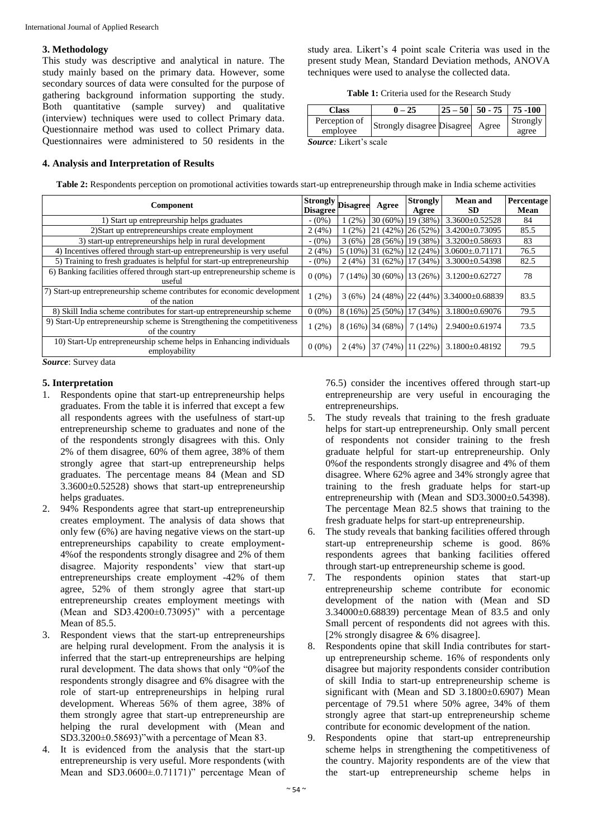### **3. Methodology**

This study was descriptive and analytical in nature. The study mainly based on the primary data. However, some secondary sources of data were consulted for the purpose of gathering background information supporting the study. Both quantitative (sample survey) and qualitative (interview) techniques were used to collect Primary data. Questionnaire method was used to collect Primary data. Questionnaires were administered to 50 residents in the

### **4. Analysis and Interpretation of Results**

study area. Likert's 4 point scale Criteria was used in the present study Mean, Standard Deviation methods, ANOVA techniques were used to analyse the collected data.

**Table 1:** Criteria used for the Research Study

| Class                         | - 25                             | $25 - 50$ | $50 - 75$ | 75 - 100          |
|-------------------------------|----------------------------------|-----------|-----------|-------------------|
| Perception of<br>employee     | Strongly disagree Disagree Agree |           |           | Strongly<br>agree |
| <i>Source:</i> Likert's scale |                                  |           |           |                   |

**Table 2:** Respondents perception on promotional activities towards start-up entrepreneurship through make in India scheme activities

| <b>Component</b>                                                                           | Strongly Disagree<br><b>Disagree</b> |         | Agree                | <b>Strongly</b><br>Agree        | <b>Mean and</b><br>SD.                     | Percentage<br>Mean |
|--------------------------------------------------------------------------------------------|--------------------------------------|---------|----------------------|---------------------------------|--------------------------------------------|--------------------|
| 1) Start up entrepreurship helps graduates                                                 | $- (0\%)$                            | $(2\%$  | $30(60\%)$           | 19 (38%)                        | 3.3600±0.52528                             | 84                 |
| 2) Start up entrepreneurships create employment                                            | 2(4%)                                | $(2\%)$ | $ 21(42\%) 26(52\%)$ |                                 | 3.4200±0.73095                             | 85.5               |
| 3) start-up entrepreneurships help in rural development                                    | $- (0\%)$                            | 3(6%)   |                      | $\left 28(56\%)\right 19(38\%)$ | $3.3200 \pm 0.58693$                       | 83                 |
| 4) Incentives offered through start-up entrepreneurship is very useful                     | 2(4%                                 |         | $5(10\%)$ 31 (62%)   |                                 | $12(24\%)$ 3.0600±.0.71171                 | 76.5               |
| 5) Training to fresh graduates is helpful for start-up entrepreneurship                    | $- (0\%)$                            | 2(4%)   | 31(62%)              | 17 (34%)                        | $3.3000 \pm 0.54398$                       | 82.5               |
| 6) Banking facilities offered through start-up entrepreneurship scheme is<br>useful        | $0(0\%)$                             |         |                      | $7(14\%)$ 30 (60%) 13 (26%)     | $3.1200 \pm 0.62727$                       | 78                 |
| 7) Start-up entrepreneurship scheme contributes for economic development<br>of the nation  | $1(2\%)$                             |         |                      |                                 | $3(6\%)$ 24 (48%) 22 (44%) 3.34000±0.68839 | 83.5               |
| 8) Skill India scheme contributes for start-up entrepreneurship scheme                     | 0(0%                                 |         | $8(16\%)$ (25 (50%)  | 17 (34%)                        | 3.1800±0.69076                             | 79.5               |
| 9) Start-Up entrepreneurship scheme is Strengthening the competitiveness<br>of the country | $1(2\%)$                             |         | $8(16\%)$ 34 (68%)   | 7(14%)                          | $2.9400 \pm 0.61974$                       | 73.5               |
| 10) Start-Up entrepreneurship scheme helps in Enhancing individuals<br>employability       | $0(0\%)$                             | 2(4%)   |                      | $\left 37(74\%)\right 11(22\%)$ | $3.1800 \pm 0.48192$                       | 79.5               |

*Source*: Survey data

## **5. Interpretation**

- 1. Respondents opine that start-up entrepreneurship helps graduates. From the table it is inferred that except a few all respondents agrees with the usefulness of start-up entrepreneurship scheme to graduates and none of the of the respondents strongly disagrees with this. Only 2% of them disagree, 60% of them agree, 38% of them strongly agree that start-up entrepreneurship helps graduates. The percentage means 84 (Mean and SD  $3.3600\pm0.52528$ ) shows that start-up entrepreneurship helps graduates.
- 2. 94% Respondents agree that start-up entrepreneurship creates employment. The analysis of data shows that only few (6%) are having negative views on the start-up entrepreneurships capability to create employment**-**4%of the respondents strongly disagree and 2% of them disagree. Majority respondents' view that start-up entrepreneurships create employment -42% of them agree, 52% of them strongly agree that start-up entrepreneurship creates employment meetings with (Mean and SD3.4200 $\pm$ 0.73095)" with a percentage Mean of 85.5.
- 3. Respondent views that the start-up entrepreneurships are helping rural development. From the analysis it is inferred that the start-up entrepreneurships are helping rural development. The data shows that only "0%of the respondents strongly disagree and 6% disagree with the role of start-up entrepreneurships in helping rural development. Whereas 56% of them agree, 38% of them strongly agree that start-up entrepreneurship are helping the rural development with (Mean and SD3.3200±0.58693)"with a percentage of Mean 83.
- 4. It is evidenced from the analysis that the start-up entrepreneurship is very useful. More respondents (with Mean and SD3.0600±.0.71171)" percentage Mean of

76.5) consider the incentives offered through start-up entrepreneurship are very useful in encouraging the entrepreneurships.

- 5. The study reveals that training to the fresh graduate helps for start-up entrepreneurship. Only small percent of respondents not consider training to the fresh graduate helpful for start-up entrepreneurship. Only 0% of the respondents strongly disagree and 4% of them disagree. Where 62% agree and 34% strongly agree that training to the fresh graduate helps for start-up entrepreneurship with (Mean and SD3.3000±0.54398). The percentage Mean 82.5 shows that training to the fresh graduate helps for start-up entrepreneurship.
- 6. The study reveals that banking facilities offered through start-up entrepreneurship scheme is good. 86% respondents agrees that banking facilities offered through start-up entrepreneurship scheme is good.
- 7. The respondents opinion states that start-up entrepreneurship scheme contribute for economic development of the nation with (Mean and SD 3.34000±0.68839) percentage Mean of 83.5 and only Small percent of respondents did not agrees with this. [2% strongly disagree & 6% disagree].
- 8. Respondents opine that skill India contributes for startup entrepreneurship scheme. 16% of respondents only disagree but majority respondents consider contribution of skill India to start-up entrepreneurship scheme is significant with (Mean and SD 3.1800±0.6907) Mean percentage of 79.51 where 50% agree, 34% of them strongly agree that start-up entrepreneurship scheme contribute for economic development of the nation.
- 9. Respondents opine that start-up entrepreneurship scheme helps in strengthening the competitiveness of the country. Majority respondents are of the view that the start-up entrepreneurship scheme helps in